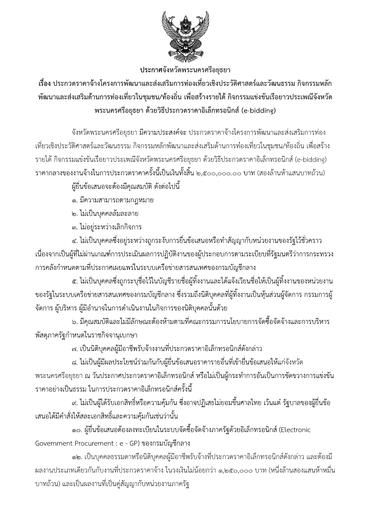

ประกาศจังหวัดพระนครศรีอยุธยา

เรื่อง ประกวดราคาจ้างโครงการพัฒนาและส่งเสริมการท่องเที่ยวเชิงประวัติศาสตร์และวัฒนธรรม กิจกรรมหลัก พิฒนาและส่งเสริมด้านการท่องเที่ยวไนชุมชน/ท้องถิ่น เพื่อสร้างรายได้ กิจกรรมแข่งขันเรื่อยาวประเพณิจังหวัด พระนครศรีอยุธยา ด้วยวิธิประกวดราคาอิเล็กทรอนิกส์ (e-bidding)

%
" "
&!'
( )) จังหวัดพระนครศรีอยธยา มีความประสงค์จะ ประกวดราคาจ้างโครงการพัฒนาและส่งเสริมการท่อง ้ เที่ยวเชิงประวัติศาสตร์และวัฒนธรรม กิจกรรมหลักพัฒนาและส่งเสริมด้านการท่องเที่ยวในชมชน/ท้องถิ่น เพื่อสร้าง รายได้ กิจกรรมแข่งขันเรือยาวประเพณีจังหวัดพระนครศรีอยุธยา ด้วยวิธีประกวดราคาอิเล็กทรอนิกส์ (e-bidding) ราคากลางของงานจ้างในการประกวดราคาครั้งนี้เป็นเงินทั้งสิ้น ๒,๕๐๐,๐๐๐.๐๐ บาท (สองล้านห้าแสนบาทถ้วน)

ผู้ยื่นข้อเสนอจะต้องมีคุณสมบัติ ดังต่อไปนี้

- ๑. มีความสามารถตามกฎหมาย
- ๒. ไม่เป็นบุคคลล้มละลาย
- ี่ ๓. ไม่อยู่ระหว่างเลิกกิจการ

๔. ไม่เป็นบุคคลซึ่งอยู่ระหว่างถูกระงับการยื่นข้อเสนอหรือทำสัญญากับหน่วยงานของรัฐไว้ชั่วคราว ้ เนื่องจากเป็นผู้ที่ไม่ผ่านเกณฑ์การประเมินผลการปฏิบัติงานของผู้ประกอบการตามระเบียบที่รัฐมนตรีว่าการกระทรวง การคลังกำหนดตามที่ประกาศเผยแพร่ในระบบเครือข่ายสารสนเทศของกรมบัญชีกลาง

 $\,\ll$  ไม่เป็นบุคคลซึ่งถูกระบุชื่อไว้ในบัญชีรายชื่อผู้ทิ้งงานและได้แจ้งเวียนชื่อให้เป็นผู้ทิ้งงานของหน่วยงาน \_ของรัฐในระบบเครือข่ายสารสนเทศของกรมบัญชีกลาง ซึ่งรวมถึงนิติบุคคลที่ผู้ทิ้งงานเป็นหุ้นส่วนผู้จัดการ กรรมการผู้ ้ จัดการ ผู้บริหาร ผู้มีอำนาจในการดำเนินงานในกิจการของนิติบุคคลนั้นด้วย

๖. มีคุณสมบัติและไม่มีลักษณะต้องห้ามตามที่คณะกรรมการนโยบายการจัดซื้อจัดจ้างและการบริหาร พัสดุภาครัฐกำหนดในราชกิจจานุเบกษา

ี ๗. เป็นนิติบุคคลผู้มีอาชีพรับจ้างงานที่ประกวดราคาอิเล็กทรอนิกส์ดังกล่าว

๘. ไม่เป็นผู้มีผลประโยชน์ร่วมกันกับผู้ยื่นข้อเสนอราคารายอื่นที่เข้ายื่นข้อเสนอให้แก่จังหวัด พระนครศรีอยุธยา ณ วันประกาศประกวดราคาอิเล็กทรอนิกส์ หรือไม่เป็นผู้กระทำการอันเป็นการขัดขวางการแข่งขัน ้ราคาอย่างเป็นธรรม ในการประกวดราคาอิเล็กทรอนิกส์ครั้งนี้

๙. ไม่เป็นผู้ได้รับเอกสิทธิ์หรือความคุ้มกัน ซึ่งอาจปฏิเสธไม่ยอมขึ้นศาลไทย เว้นแต่ รัฐบาลของผู้ยื่นข้อ เสนอได้มีคำสั่งให้สละเอกสิทธิ์และความคุ้มกันเช่นว่านั้น

๑๐. ผู้ยื่นข้อเสนอต้องลงทะเบียนในระบบจัดซื้อจัดจ้างภาครัฐด้วยอิเล็กทรอนิกส์ (Electronic Government Procurement : e - GP) ของกรมบัญชีกลาง

้๑๒. เป็นบุคคลธรรมดาหรือนิติบุคคลผู้มีอาชีพรับจ้างที่ประกวดราคาอิเล็กทรอนิกส์ดังกล่าว และต้องมี นลงานประเภทเดียวกันกับงานที่ประกวดราคาจ้าง ในวงเงินไม่น้อยกว่า ๑,๒๕๐,๐๐๐ บาท (หนึ่งล้านสองแสนห้าหมื่น ิบาทถ้วน) และเป็นผลงานที่เป็นคู่สัญญากับหน่วยงานภาครัฐ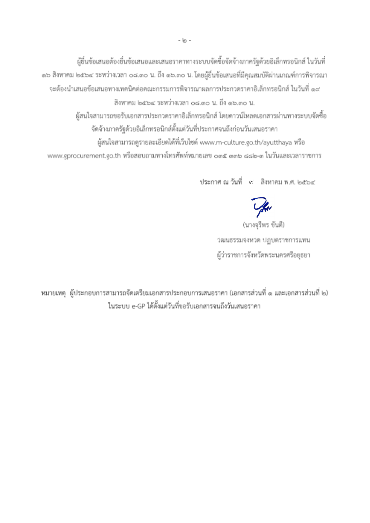ผู้ยื่นข้อเสนอต้องยื่นข้อเสนอและเสนอราคาทางระบบจัดซื้อจัดจ้างภาครัฐด้วยอิเล็กทรอนิกส์ ในวันที่ ด๖ สิงหาคม ๒๕๖๔ ระหว่างเวลา ๐๘.๓๐ น. ถึง ด๖.๓๐ น. โดยผู้ยื่นข้อเสนอที่มีคุณสมบัติผ่านเกณฑ์การพิจารณา ้จะต้องนำเสนอข้อเสนอทางเทคนิคต่อคณะกรรมการพิจารณาผลการประกวดราคาอิเล็กทรอนิกส์ ในวันที่ ๑๙ สิงหาคม ๒๕๖๔ ระหว่างเวลา ๐๘.๓๐ น. ถึง ๑๖.๓๐ น.

> ผู้สนใจสามารถขอรับเอกสารประกวดราคาอิเล็กทรอนิกส์ โดยดาวน์โหลดเอกสารผ่านทางระบบจัดซื้อ จัดจ้างภาครัฐด้วยอิเล็กทรอนิกส์ตั้งแต่วันที่ประกาศจนถึงก่อนวันเสนอราคา

ผู้สนใจสามารถดูรายละเอียดได้ที่เว็บไซต์ www.m-culture.go.th/ayutthaya หรือ www.gprocurement.go.th หรือสอบถามทางโทรศัพท์หมายเลข ๐๓๕ ๓๓๖ ๘๘๒-๓ ในวันและเวลาราชการ

ประกาศ ณ วันที่ ๙ สิงหาคม พ.ศ. ๒๕๖๔

You

(นางจรีพร ขันตี) วฒนธรรมจงหวด ปฏิบตราชการแทน ผู้ว่าราชการจังหวัดพระนครศรีอยุธยา

หมายเหตุ ผู้ประกอบการสามารถจัดเตรียมเอกสารประกอบการเสนอราคา (เอกสารส่วนที่ ๑ และเอกสารส่วนที่ ๒) ในระบบ e-GP ได้ตั้งแต่วันที่ขอรับเอกสารจนถึงวันเสนอราคา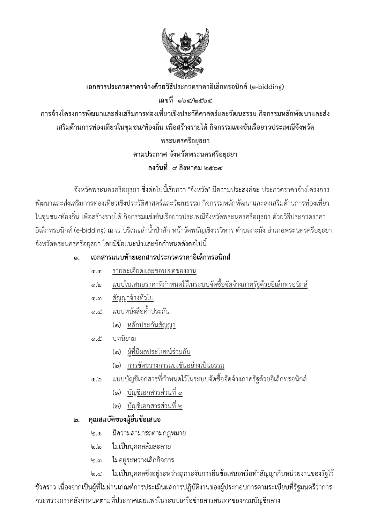

เอกสารประกวดราคาจ้างด้วยวิธีประกวดราคาอิเล็กทรอนิกส์ (e-bidding) เลขที่ ๑๖๔/๒๕๖๔ การจ้างโครงการพัฒนาและส่งเสริมการท่องเที่ยวเชิงประวัติศาสตร์และวัฒนธรรม กิจกรรมหลักพัฒนาและส่ง เสริมด้านการท่องเที่ยวในชุมชน/ท้องถิ่น เพื่อสร้างรายได้ กิจกรรมแข่งขันเรือยาวประเพณีจังหวัด พระนครศรีอยุธยา ตามประกาศ จังหวัดพระนครศรีอยุธยา ลงวันที่ ๙ สิงหาคม ๒๕๖๔

้จังหวัดพระนครศรีอยุธยา ซึ่งต่อไปนี้เรียกว่า "จังหวัด" มีความประสงค์จะ ประกวดราคาจ้างโครงการ ้พัฒนาและส่งเสริมการท่องเที่ยวเชิงประวัติศาสตร์และวัฒนธรรม กิจกรรมหลักพัฒนาและส่งเสริมด้านการท่องเที่ยว ในชุมชน/ท้องถิ่น เพื่อสร้างรายได้ กิจกรรมแข่งขันเรือยาวประเพณีจังหวัดพระนครศรีอยุธยา ด้วยวิธีประกวดราคา ้อิเล็กทรอนิกส์ (e-bidding) ณ ณ บริเวณลำน้ำป่าสัก หน้าวัดพนัญเชิงวรวิหาร ตำบลกะมัง อำเภอพระนครศรีอยุธยา จังหวัดพระนครศรีอยุธยา โดยมีข้อแนะนำและข้อกำหนดดังต่อไปนี้

### เอกสารแนบท้ายเอกสารประกวดราคาอิเล็กทรอนิกส์ ේ.

- รายละเอียดและขอบเขตของงาน ெ.
- <u>แบบใบเสนอราคาที่กำหนดไว้ในระบบจัดซื้อจัดจ้างภาครัฐด้วยอิเล็กทรอนิกส์</u> ෧.෨
- <u>สัญญาจ้างทั่วไป</u> <u>ெள</u>
- แบบหนังสือค้ำประกัน ෧.๔
	- (๑) <u>หลักประกันสัญญา</u>

# บทบิยาม ෧෫

- (๑) ผู้<u>ที่มีผลประโยชน์ร่วมกัน</u>
- (๒) การขัดขวางการแข่งขันอย่างเป็นธรรม
- แบบบัญชีเอกสารที่กำหนดไว้ในระบบจัดซื้อจัดจ้างภาครัฐด้วยอิเล็กทรอนิกส์ ඉ. ත
	- (๑) บัญชีเอกสารส่วนที่ ๑
	- (๒) <u>บัญชีเอกสารส่วนที่ ๒</u>

# คุณสมบัติของผู้ยื่นข้อเสนอ ២.

- มีความสามารถตามกฎหมาย စြ. ၅
- ไม่เป็นบุคคลล้มละลาย  $\log$
- ไม่อยู่ระหว่างเลิกกิจการ  $\mathfrak{b}$ . ബ
- ้ไม่เป็นบุคคลซึ่งอยู่ระหว่างถูกระงับการยื่นข้อเสนอหรือทำสัญญากับหน่วยงานของรัฐไว้  $\ln \sigma$

ู ชั่วคราว เนื่องจากเป็นผู้ที่ไม่ผ่านเกณฑ์การประเมินผลการปฏิบัติงานของผู้ประกอบการตามระเบียบที่รัฐมนตรีว่าการ ้ กระทรวงการคลังกำหนดตามที่ประกาศเผยแพร่ในระบบเครือข่ายสารสนเทศของกรมบัญชีกลาง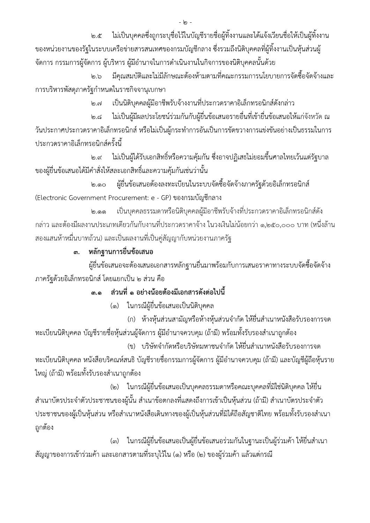ไม่เป็นบุคคลซึ่งถูกระบุชื่อไว้ในบัญชีรายชื่อผู้ทิ้งงานและได้แจ้งเวียนชื่อให้เป็นผู้ทิ้งงาน  $\mathfrak{b}.\mathfrak{C}$ ่ ของหน่วยงานของรัฐในระบบเครือข่ายสารสนเทศของกรมบัญชีกลาง ซึ่งรวมถึงนิติบุคคลที่ผู้ทิ้งงานเป็นหุ้นส่วนผู้ ้จัดการ กรรมการผู้จัดการ ผู้บริหาร ผู้มีอำนาจในการดำเนินงานในกิจการของนิติบุคคลนั้นด้วย

มีคุณสมบัติและไม่มีลักษณะต้องห้ามตามที่คณะกรรมการนโยบายการจัดซื้อจัดจ้างและ  $6.5$ การบริหารพัสดุภาครัฐกำหนดในราชกิจจานุเบกษา

> เป็นนิติบุคคลผู้มีอาชีพรับจ้างงานที่ประกวดราคาอิเล็กทรอนิกส์ดังกล่าว ๒.๗

ไม่เป็นผู้มีผลประโยชน์ร่วมกันกับผู้ยื่นข้อเสนอรายอื่นที่เข้ายื่นข้อเสนอให้แก่จังหวัด ณ  $\mathfrak{b}.$  ශ් ้วันประกาศประกวดราคาอิเล็กทรอนิกส์ หรือไม่เป็นผู้กระทำการอันเป็นการขัดขวางการแข่งขันอย่างเป็นธรรมในการ ประกวดราคาอิเล็กทรอนิกส์ครั้งนี้

ไม่เป็นผู้ได้รับเอกสิทธิ์หรือความคุ้มกัน ซึ่งอาจปฏิเสธไม่ยอมขึ้นศาลไทยเว้นแต่รัฐบาล  $\mathfrak{b}.\mathfrak{c}$ ี ของผู้ยื่นข้อเสนอได้มีคำสั่งให้สละเอกสิทธิ์และความคุ้มกันเช่นว่านั้น

ผู้ยื่นข้อเสนอต้องลงทะเบียนในระบบจัดซื้อจัดจ้างภาครัฐด้วยอิเล็กทรอนิกส์ ി $\circ$ .റെ (Electronic Government Procurement: e - GP) ของกรมบัญชีกลาง

เป็นบุคคลธรรมดาหรือนิติบุคคลผู้มีอาชีพรับจ้างที่ประกวดราคาอิเล็กทรอนิกส์ดัง စြ.ၜၜ ึกล่าว และต้องมีผลงานประเภทเดียวกันกับงานที่ประกวดราคาจ้าง ในวงเงินไม่น้อยกว่า ๑,๒๕๐,๐๐๐ บาท (หนึ่งล้าน ้สองแสนห้าหมื่นบาทถ้วน) และเป็นผลงานที่เป็นคู่สัญญากับหน่วยงานภาครัฐ

> หลักฐานการยื่นข้อเสนอ ຓ.

ผู้ยื่นข้อเสนอจะต้องเสนอเอกสารหลักฐานยื่นมาพร้อมกับการเสนอราคาทางระบบจัดซื้อจัดจ้าง ภาครัฐด้วยอิเล็กทรอนิกส์ โดยแยกเป็น ๒ ส่วน คือ

> ้ ส่วนที่ ๑ อย่างน้อยต้องมีเอกสารดังต่อไปนี้ .<br>ທ.

> > ในกรณีผู้ยื่นข้อเสนอเป็นนิติบุคคล  $(\circledcirc)$

(ก) ห้างหุ้นส่วนสามัญหรือห้างหุ้นส่วนจำกัด ให้ยื่นสำเนาหนังสือรับรองการจด ทะเบียนนิติบุคคล บัญชีรายชื่อหุ้นส่วนผู้จัดการ ผู้มีอำนาจควบคุม (ถ้ามี) พร้อมทั้งรับรองสำเนาถูกต้อง

้ (ข) บริษัทจำกัดหรือบริษัทมหาชนจำกัด ให้ยื่นสำเนาหนังสือรับรองการจด ้ทะเบียนนิติบุคคล หนังสือบริคณห์สนธิ บัญชีรายชื่อกรรมการผู้จัดการ ผู้มีอำนาจควบคุม (ถ้ามี) และบัญชีผู้ถือหุ้นราย ใหญ่ (ถ้ามี) พร้อมทั้งรับรองสำเนาถูกต้อง

(๒) ในกรณีผู้ยื่นข้อเสนอเป็นบุคคลธรรมดาหรือคณะบุคคลที่มิใช่นิติบุคคล ให้ยื่น ้ สำเนาบัตรประจำตัวประชาชนของผู้นั้น สำเนาข้อตกลงที่แสดงถึงการเข้าเป็นหุ้นส่วน (ถ้ามี) สำเนาบัตรประจำตัว ี ประชาชนของผู้เป็นหุ้นส่วน หรือสำเนาหนังสือเดินทางของผู้เป็นหุ้นส่วนที่มิได้ถือสัญชาติไทย พร้อมทั้งรับรองสำเนา ถูกต้อง

่ ในกรณีผู้ยื่นข้อเสนอเป็นผู้ยื่นข้อเสนอร่วมกันในฐานะเป็นผู้ร่วมค้า ให้ยื่นสำเนา  $(m)$ ้สัญญาของการเข้าร่วมค้า และเอกสารตามที่ระบุไว้ใน (๑) หรือ (๒) ของผู้ร่วมค้า แล้วแต่กรณี

- ම -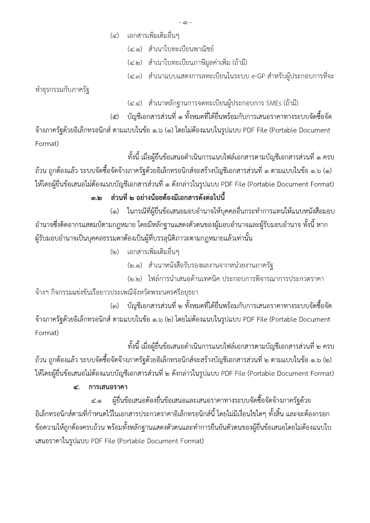- ണ -

- เอกสารเพิ่มเติมอื่นๆ  $(\mathbb{C})$ 
	- (๔.๑) สำเนาใบทะเบียนพาณิชย์
	- (๔.๒) สำเนาใบทะเบียนภาษีมูลค่าเพิ่ม (ถ้ามี)
	- (๔.๓) สำเนาแบบแสดงการลทะเบียนในระบบ e-GP สำหรับผู้ประกอบการที่จะ

ทำธุรกรรมกับภาครัฐ

- (๔.๔) สำเนาหลักฐานการจดทะเบียนผู้ประกอบการ SMEs (ถ้ามี)
- ้บัญชีเอกสารส่วนที่ ๑ ทั้งหมดที่ได้ยื่นพร้อมกับการเสนอราคาทางระบบจัดซื้อจัด  $(\overset{\circ}{\mathbb{C}})$

้จ้างภาครัฐด้วยอิเล็กทรอนิกส์ ตามแบบในข้อ ๑.๖ (๑) โดยไม่ต้องแนบในรูปแบบ PDF File (Portable Document Format)

ทั้งนี้ เมื่อผู้ยื่นข้อเสนอดำเนินการแนบไฟล์เอกสารตามบัญชีเอกสารส่วนที่ ๑ ครบ ้ถ้วน ถูกต้องแล้ว ระบบจัดซื้อจัดจ้างภาครัฐด้วยอิเล็กทรอนิกส์จะสร้างบัญชีเอกสารส่วนที่ ๑ ตามแบบในข้อ ๑.๖ (๑) ให้โดยผู้ยื่นข้อเสนอไม่ต้องแนบบัญชีเอกสารส่วนที่ ๑ ดังกล่าวในรูปแบบ PDF File (Portable Document Format)

## ้ส่วนที่ ๒ อย่างน้อยต้องมีเอกสารดังต่อไปนี้ <u> ຕ.ໄຕ</u>

ในกรณีที่ผู้ยื่นข้อเสนอมอบอำนาจให้บุคคลอื่นกระทำการแทนให้แนบหนังสือมอบ  $(\circledcirc)$ ้อำนาจซึ่งติดอากรแสตมป์ตามกฎหมาย โดยมีหลักฐานแสดงตัวตนของผู้มอบอำนาจและผู้รับมอบอำนาจ ทั้งนี้ หาก ผู้รับมอบอำนาจเป็นบุคคลธรรมดาต้องเป็นผู้ที่บรรลุนิติภาวะตามกฎหมายแล้วเท่านั้น

> เอกสารเพิ่มเติมอื่นๆ  $(\mathfrak{b})$

> > (๒.๑) สำเนาหนังสือรับรองผลงานจากหน่วยงานภาครัฐ

(๒.๒) ไฟล์การนำเสนอด้านเทคนิค ประกอบการพิจารณาการประกวดราคา ้จ้างฯ กิจกรรมแข่งขันเรือยาวประเพณีจังหวัดพระนครศรีอยุธยา

บัญชีเอกสารส่วนที่ ๒ ทั้งหมดที่ได้ยื่นพร้อมกับการเสนอราคาทางระบบจัดซื้อจัด  $(m)$ จ้างภาครัฐด้วยอิเล็กทรอนิกส์ ตามแบบในข้อ ๑.๖ (๒) โดยไม่ต้องแนบในรูปแบบ PDF File (Portable Document Format)

้ ทั้งนี้ เมื่อผู้ยื่นข้อเสนอดำเนินการแนบไฟล์เอกสารตามบัญชีเอกสารส่วนที่ ๒ ครบ ถ้วน ถูกต้องแล้ว ระบบจัดซื้อจัดจ้างภาครัฐด้วยอิเล็กทรอนิกส์จะสร้างบัญชีเอกสารส่วนที่ ๒ ตามแบบในข้อ ๑.๖ (๒) ให้โดยผู้ยื่นข้อเสนอไม่ต้องแนบบัญชีเอกสารส่วนที่ ๒ ดังกล่าวในรูปแบบ PDF File (Portable Document Format)

### ๔. การเสนอราคา

้ผู้ยื่นข้อเสนอต้องยื่นข้อเสนอและเสนอราคาทางระบบจัดซื้อจัดจ้างภาครัฐด้วย ๔.๑ ้อิเล็กทรอนิกส์ตามที่กำหนดไว้ในเอกสารประกวดราคาอิเล็กทรอนิกส์นี้ โดยไม่มีเงื่อนไขใดๆ ทั้งสิ้น และจะต้องกรอก ี ข้อความให้ถูกต้องครบถ้วน พร้อมทั้งหลักฐานแสดงตัวตนและทำการยืนยันตัวตนของผู้ยื่นข้อเสนอโดยไม่ต้องแนบใบ เสนอราคาในรูปแบบ PDF File (Portable Document Format)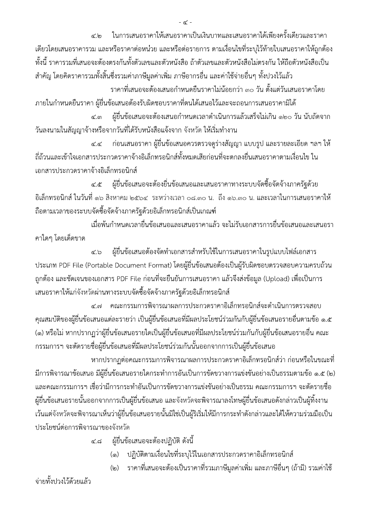ในการเสนอราคาให้เสนอราคาเป็นเงินบาทและเสนอราคาได้เพียงครั้งเดียวและราคา  $\ll$ ിന เดียวโดยเสนอราคารวม และหรือราคาต่อหน่วย และหรือต่อรายการ ตามเงื่อนไขที่ระบุไว้ท้ายใบเสนอราคาให้ถูกต้อง ้ทั้งนี้ ราคารวมที่เสนอจะต้องตรงกันทั้งตัวเลขและตัวหนังสือ ถ้าตัวเลขและตัวหนังสือไม่ตรงกัน ให้ถือตัวหนังสือเป็น ่ สำคัญ โดยคิดราคารวมทั้งสิ้นซึ่งรวมค่าภาษีมูลค่าเพิ่ม ภาษีอากรอื่น และค่าใช้จ่ายอื่นๆ ทั้งปวงไว้แล้ว ี ราคาที่เสนอจะต้องเสนอกำหนดยืนราคาไม่น้อยกว่า ๓๐ วัน ตั้งแต่วันเสนอราคาโดย

ิภายในกำหนดยืนราคา ผู้ยื่นข้อเสนอต้องรับผิดชอบราคาที่ตนได้เสนอไว้และจะถอนการเสนอราคามิได้ ้ผู้ยื่นข้อเสนอจะต้องเสนอกำหนดเวลาดำเนินการแล้วเสร็จไม่เกิน ๑๒๐ วัน นับถัดจาก ๔.๓

้วันลงนามในสัญญาจ้างหรือจากวันที่ได้รับหนังสือแจ้งจาก จังหวัด ให้เริ่มทำงาน

้ก่อนเสนอราคา ผู้ยื่นข้อเสนอควรตรวจดูร่างสัญญา แบบรูป และรายละเอียด ฯลฯ ให้  $\propto$ . $\propto$ ้ถี่ถ้วนและเข้าใจเอกสารประกวดราคาจ้างอิเล็กทรอนิกส์ทั้งหมดเสียก่อนที่จะตกลงยื่นเสนอราคาตามเงื่อนไข ใน เอกสารประกวดราคาจ้างอิเล็กทรอนิกส์

ผู้ยื่นข้อเสนอจะต้องยื่นข้อเสนอและเสนอราคาทางระบบจัดซื้อจัดจ้างภาครัฐด้วย ھ.ھ ้อิเล็กทรอนิกส์ ในวันที่ ๑๖ สิงหาคม ๒๕๖๔ ระหว่างเวลา ๐๘.๓๐ น. ถึง ๑๖.๓๐ น. และเวลาในการเสนอราคาให้ ถือตามเวลาของระบบจัดซื้อจัดจ้างภาครัฐด้วยอิเล็กทรอนิกส์เป็นเกณฑ์

เมื่อพ้นกำหนดเวลายื่นข้อเสนอและเสนอราคาแล้ว จะไม่รับเอกสารการยื่นข้อเสนอและเสนอรา คาใดๆ โดยเด็ดขาด

้ผู้ยื่นข้อเสนอต้องจัดทำเอกสารสำหรับใช้ในการเสนอราคาในรูปแบบไฟล์เอกสาร  $\ll$ b ประเภท PDF File (Portable Document Format) โดยผู้ยื่นข้อเสนอต้องเป็นผู้รับผิดชอบตรวจสอบความครบถ้วน ถูกต้อง และชัดเจนของเอกสาร PDF File ก่อนที่จะยืนยันการเสนอราคา แล้วจึงส่งข้อมูล (Upload) เพื่อเป็นการ ้<br>เสนอราคาให้แก่จังหวัดผ่านทางระบบจัดซื้อจัดจ้างภาครัฐด้วยอิเล็กทรอนิกส์

คณะกรรมการพิจารณาผลการประกวดราคาอิเล็กทรอนิกส์จะดำเนินการตรวจสอบ ഭ്രി ้คุณสมบัติของผู้ยื่นข้อเสนอแต่ละรายว่า เป็นผู้ยื่นข้อเสนอที่มีผลประโยชน์ร่วมกันกับผู้ยื่นข้อเสนอรายอื่นตามข้อ ๑.๕ (๑) หรือไม่ หากปรากฏว่าผู้ยื่นข้อเสนอรายใดเป็นผู้ยื่นข้อเสนอที่มีผลประโยชน์ร่วมกันกับผู้ยื่นข้อเสนอรายอื่น คณะ กรรมการฯ จะตัดรายชื่อผู้ยื่นข้อเสนอที่มีผลประโยชน์ร่วมกันนั้นออกจากการเป็นผู้ยื่นข้อเสนอ

่ หากปรากฏต่อคณะกรรมการพิจารณาผลการประกวดราคาอิเล็กทรอนิกส์ว่า ก่อนหรือในขณะที่ ้มีการพิจารณาข้อเสนอ มีผู้ยื่นข้อเสนอรายใดกระทำการอันเป็นการขัดขวางการแข่งขันอย่างเป็นธรรมตามข้อ ๑.๕ (๒) และคณะกรรมการฯ เชื่อว่ามีการกระทำอันเป็นการขัดขวางการแข่งขันอย่างเป็นธรรม คณะกรรมการฯ จะตัดรายชื่อ ผู้ยื่นข้อเสนอรายนั้นออกจากการเป็นผู้ยื่นข้อเสนอ และจังหวัดจะพิจารณาลงโทษผู้ยื่นข้อเสนอดังกล่าวเป็นผู้ทิ้งงาน เว้นแต่จังหวัดจะพิจารณาเห็นว่าผู้ยื่นข้อเสนอรายนั้นมิใช่เป็นผู้ริเริ่มให้มีการกระทำดังกล่าวและได้ให้ความร่วมมือเป็น ประโยชน์ต่อการพิจารณาของจังหวัด

> ผู้ยื่นข้อเสนอจะต้องปฏิบัติ ดังนี้ ೯.ಡ

- ปฏิบัติตามเงื่อนไขที่ระบุไว้ในเอกสารประกวดราคาอิเล็กทรอนิกส์  $\left( \circ \right)$
- ราคาที่เสนอจะต้องเป็นราคาที่รวมภาษีมูลค่าเพิ่ม และภาษีอื่นๆ (ถ้ามี) รวมค่าใช้  $(\mathfrak{b})$

จ่ายทั้งปวงไว้ด้วยแล้ว

 $\alpha$  -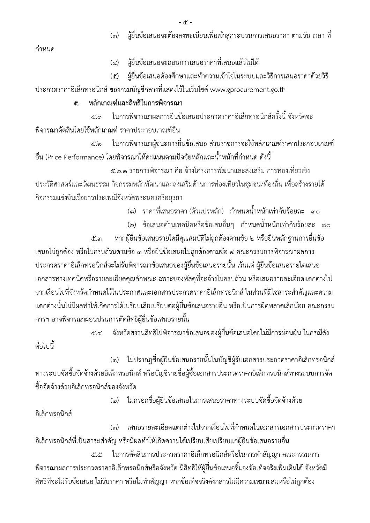- ๕ -

ผู้ยื่นข้อเสนอจะต้องลงทะเบียนเพื่อเข้าสู่กระบวนการเสนอราคา ตามวัน เวลา ที่  $(m)$ 

กำหนด

ผู้ยื่นข้อเสนอจะถอนการเสนอราคาที่เสนอแล้วไม่ได้  $(\mathbb{C})$ 

ผู้ยื่นข้อเสนอต้องศึกษาและทำความเข้าใจในระบบและวิธีการเสนอราคาด้วยวิธี  $(\overset{\circ}{\mathbb{C}})$ ประกวดราคาอิเล็กทรอนิกส์ ของกรมบัญชีกลางที่แสดงไว้ในเว็บไซต์ www.gprocurement.go.th

#### หลักเกณฑ์และสิทธิในการพิจารณา <u>දි.</u>

ในการพิจารณาผลการยื่นข้อเสนอประกวดราคาอิเล็กทรอนิกส์ครั้งนี้ จังหวัดจะ ഭ്. ൈ ้พิจารณาตัดสินโดยใช้หลักเกณฑ์ ราคาประกอบเกณฑ์อื่น

ในการพิจารณาผู้ชนะการยื่นข้อเสนอ ส่วนราชการจะใช้หลักเกณฑ์ราคาประกอบเกณฑ์ &.๒ ้อื่น (Price Performance) โดยพิจารณาให้คะแนนตามปัจจัยหลักและน้ำหนักที่กำหนด ดังนี้

้ ๕.๒.๑ รายการพิจารณา คือ จ้างโครงการพัฒนาและส่งเสริม การท่องเที่ยวเชิง ี ประวัติศาสตร์และวัฒนธรรม กิจกรรมหลักพัฒนาและส่งเสริมด้านการท่องเที่ยวในชุมชน/ท้องถิ่น เพื่อสร้างรายได้ กิจกรรมแข่งขันเรือยาวประเพณีจังหวัดพระนครศรีอยุธยา

(๑) ราคาที่เสนอราคา(ตัวแปรหลัก) กำหนดน้ำหนักเท่ากับร้อยละ ๓๐

(๒) ข้อเสนอด้านเทคนิคหรือข้อเสนอื่นๆ กำหนดน้ำหนักเท่ากับร้อยละ ๗๐ หากผู้ยื่นข้อเสนอรายใดมีคุณสมบัติไม่ถูกต้องตามข้อ ๒ หรือยื่นหลักฐานการยื่นข้อ ๕.๓

์ เสนอไม่ถูกต้อง หรือไม่ครบถ้วนตามข้อ ๓ หรือยื่นข้อเสนอไม่ถูกต้องตามข้อ ๔ คณะกรรมการพิจารณาผลการ ี ประกวดราคาอิเล็กทรอนิกส์จะไม่รับพิจารณาข้อเสนอของผู้ยื่นข้อเสนอรายนั้น เว้นแต่ ผู้ยื่นข้อเสนอรายใดเสนอ เอกสารทางเทคนิคหรือรายละเอียดคุณลักษณะเฉพาะของพัสดุที่จะจ้างไม่ครบถ้วน หรือเสนอรายละเอียดแตกต่างไป ้จากเงื่อนไขที่จังหวัดกำหนดไว้ในประกาศและเอกสารประกวดราคาอิเล็กทรอนิกส์ ในส่วนที่มิใช่สาระสำคัญและความ แตกต่างนั้นไม่มีผลทำให้เกิดการได้เปรียบเสียเปรียบต่อผู้ยื่นข้อเสนอรายอื่น หรือเป็นการผิดพลาดเล็กน้อย คณะกรรม การฯ อาจพิจารณาผ่อนปรนการตัดสิทธิผู้ยื่นข้อเสนอรายนั้น

้จังหวัดสงวนสิทธิไม่พิจารณาข้อเสนอของผู้ยื่นข้อเสนอโดยไม่มีการผ่อนผัน ในกรณีดัง رو<br>ر ต่อไปนี้

(๑) ไม่ปรากฏชื่อผู้ยื่นข้อเสนอรายนั้นในบัญชีผู้รับเอกสารประกวดราคาอิเล็กทรอนิกส์ ทางระบบจัดซื้อจัดจ้างด้วยอิเล็กทรอนิกส์ หรือบัญชีรายชื่อผู้ซื้อเอกสารประกวดราคาอิเล็กทรอนิกส์ทางระบบการจัด ซี้อจัดจ้างด้วยอิเล็กทรอนิกส์ของจังหวัด

(๒) ไม่กรอกชื่อผู้ยื่นข้อเสนอในการเสนอราคาทางระบบจัดซื้อจัดจ้างด้วย

้อิเล็กทรอนิกส์

เสนอรายละเอียดแตกต่างไปจากเงื่อนไขที่กำหนดในเอกสารเอกสารประกวดราคา  $(m)$ ้อิเล็กทรอนิกส์ที่เป็นสาระสำคัญ หรือมีผลทำให้เกิดความได้เปรียบเสียเปรียบแก่ผู้ยื่นข้อเสนอรายอื่น

ในการตัดสินการประกวดราคาอิเล็กทรอนิกส์หรือในการทำสัญญา คณะกรรมการ ೬.೬ ้พิจารณาผลการประกวดราคาอิเล็กทรอนิกส์หรือจังหวัด มีสิทธิให้ผู้ยื่นข้อเสนอชี้แจงข้อเท็จจริงเพิ่มเติมได้ จังหวัดมี ี่ สิทธิที่จะไม่รับข้อเสนอ ไม่รับราคา หรือไม่ทำสัญญา หากข้อเท็จจริงดังกล่าวไม่มีความเหมาะสมหรือไม่ถูกต้อง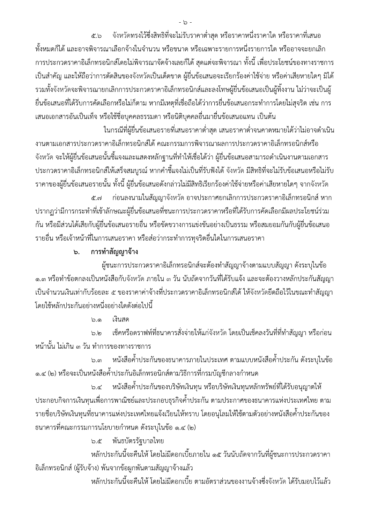้จังหวัดทรงไว้ซึ่งสิทธิที่จะไม่รับราคาต่ำสุด หรือราคาหนึ่งราคาใด หรือราคาที่เสนอ ഭ്യ ้ทั้งหมดก็ได้ และอาจพิจารณาเลือกจ้างในจำนวน หรือขนาด หรือเฉพาะรายการหนึ่งรายการใด หรืออาจจะยกเลิก ้การประกวดราคาอิเล็กทรอนิกส์โดยไม่พิจารณาจัดจ้างเลยก็ได้ สุดแต่จะพิจารณา ทั้งนี้ เพื่อประโยชน์ของทางราชการ เป็นสำคัญ และให้ถือว่าการตัดสินของจังหวัดเป็นเด็ดขาด ผู้ยื่นข้อเสนอจะเรียกร้องค่าใช้จ่าย หรือค่าเสียหายใดๆ มิได้ รวมทั้งจังหวัดจะพิจารณายกเลิกการประกวดราคาอิเล็กทรอนิกส์และลงโทษผู้ยื่นข้อเสนอเป็นผู้ทิ้งงาน ไม่ว่าจะเป็นผู้ ้ยื่นข้อเสนอที่ได้รับการคัดเลือกหรือไม่ก็ตาม หากมีเหตุที่เชื่อถือได้ว่าการยื่นข้อเสนอกระทำการโดยไม่สุจริต เช่น การ เสนอเอกสารอันเป็นเท็จ หรือใช้ชื่อบุคคลธรรมดา หรือนิติบุคคลอื่นมายื่นข้อเสนอแทน เป็นต้น

ในกรณีที่ผู้ยื่นข้อเสนอรายที่เสนอราคาต่ำสุด เสนอราคาต่ำจนคาดหมายได้ว่าไม่อาจดำเนิน ึงานตามเอกสารประกวดราคาอิเล็กทรอนิกส์ได้ คณะกรรมการพิจารณาผลการประกวดราคาอิเล็กทรอนิกส์หรือ ้จังหวัด จะให้ผู้ยื่นข้อเสนอนั้นชี้แจงและแสดงหลักฐานที่ทำให้เชื่อได้ว่า ผู้ยื่นข้อเสนอสามารถดำเนินงานตามเอกสาร ี ประกวดราคาอิเล็กทรอนิกส์ให้เสร็จสมบูรณ์ หากคำชี้แจงไม่เป็นที่รับฟังได้ จังหวัด มีสิทธิที่จะไม่รับข้อเสนอหรือไม่รับ ราคาของผู้ยื่นข้อเสนอรายนั้น ทั้งนี้ ผู้ยื่นข้อเสนอดังกล่าวไม่มีสิทธิเรียกร้องค่าใช้จ่ายหรือค่าเสียหายใดๆ จากจังหวัด

้ก่อนลงนามในสัญญาจังหวัด อาจประกาศยกเลิกการประกวดราคาอิเล็กทรอนิกส์ หาก ๕.๗ ปรากฏว่ามีการกระทำที่เข้าลักษณะผู้ยื่นข้อเสนอที่ชนะการประกวดราคาหรือที่ได้รับการคัดเลือกมีผลประโยชน์ร่วม ้กัน หรือมีส่วนได้เสียกับผู้ยื่นข้อเสนอรายอื่น หรือขัดขวางการแข่งขันอย่างเป็นธรรม หรือสมยอมกันกับผู้ยื่นข้อเสนอ รายอื่น หรือเจ้าหน้าที่ในการเสนอราคา หรือส่อว่ากระทำการทุจริตอื่นใดในการเสนอราคา

> การทำสัญญาจ้าง  $\mathbf{b}$ .

ผู้ชนะการประกวดราคาอิเล็กทรอนิกส์จะต้องทำสัญญาจ้างตามแบบสัญญา ดังระบุในข้อ ึด.๓ หรือทำข้อตกลงเป็นหนังสือกับจังหวัด ภายใน ๓ วัน นับถัดจากวันที่ได้รับแจ้ง และจะต้องวางหลักประกันสัญญา เป็นจำนวนเงินเท่ากับร้อยละ ๕ ของราคาค่าจ้างที่ประกวดราคาอิเล็กทรอนิกส์ได้ ให้จังหวัดยึดถือไว้ในขณะทำสัญญา โดยใช้หลักประกันอย่างหนึ่งอย่างใดดังต่อไปนี้

> เงินสด  $b \circ$

่ เช็คหรือดราฟท์ที่ธนาคารสั่งจ่ายให้แก่จังหวัด โดยเป็นเช็คลงวันที่ที่ทำสัญญา หรือก่อน  $b.\sigma$ ็หน้านั้น ไม่เกิน ๓ วัน ทำการของทางราชการ

หนังสือค้ำประกันของธนาคารภายในประเทศ ตามแบบหนังสือค้ำประกัน ดังระบุในข้อ  $b.m$ ๑.๔ (๒) หรือจะเป็นหนังสือค้ำประกันอิเล็กทรอนิกส์ตามวิธีการที่กรมบัญชีกลางกำหนด

หนังสือค้ำประกันของบริษัทเงินทุน หรือบริษัทเงินทุนหลักทรัพย์ที่ได้รับอนุญาตให้  $b.\epsilon$ ี ประกอบกิจการเงินทุนเพื่อการพาณิชย์และประกอบธุรกิจค้ำประกัน ตามประกาศของธนาคารแห่งประเทศไทย ตาม รายชื่อบริษัทเงินทุนที่ธนาคารแห่งประเทศไทยแจ้งเวียนให้ทราบ โดยอนุโลมให้ใช้ตามตัวอย่างหนังสือค้ำประกันของ ธนาคารที่คณะกรรมการนโยบายกำหนด ดังระบุในข้อ ๑.๔ (๒)

> พันธบัตรรัฐบาลไทย  $b.e$

หลักประกันนี้จะคืนให้ โดยไม่มีดอกเบี้ยภายใน ๑๕ วันนับถัดจากวันที่ผู้ชนะการประกวดราคา อิเล็กทรอนิกส์ (ผู้รับจ้าง) พ้นจากข้อผูกพันตามสัญญาจ้างแล้ว

หลักประกันนี้จะคืนให้ โดยไม่มีดอกเบี้ย ตามอัตราส่วนของงานจ้างซึ่งจังหวัด ได้รับมอบไว้แล้ว

 $-5 -$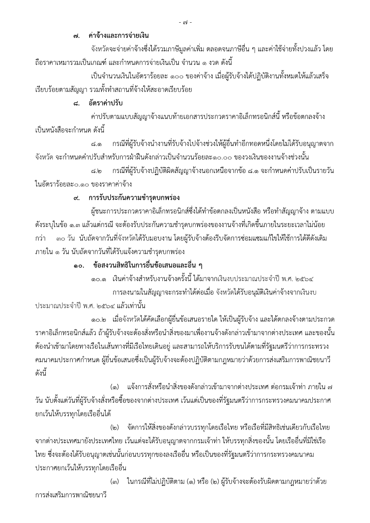#### ์ค่าจ้างและการจ่ายเงิน  $m<sub>1</sub>$

้จังหวัดจะจ่ายค่าจ้างซึ่งได้รวมภาษีมูลค่าเพิ่ม ตลอดจนภาษีอื่น ๆ และค่าใช้จ่ายทั้งปวงแล้ว โดย ้ถือราคาเหมารวมเป็นเกณฑ์ และกำหนดการจ่ายเงินเป็น จำนวน ๑ งวด ดังนี้

เป็นจำนวนเงินในอัตราร้อยละ ๑๐๐ ของค่าจ้าง เมื่อผู้รับจ้างได้ปฏิบัติงานทั้งหมดให้แล้วเสร็จ เรียบร้อยตามสัญญา รวมทั้งทำสถานที่จ้างให้สะอาดเรียบร้อย

#### อัตราค่าปรับ ದ.

้ค่าปรับตามแบบสัญญาจ้างแนบท้ายเอกสารประกวดราคาอิเล็กทรอนิกส์นี้ หรือข้อตกลงจ้าง เป็นหนังสือจะกำหนด ดังนี้

กรณีที่ผู้รับจ้างนำงานที่รับจ้างไปจ้างช่วงให้ผู้อื่นทำอีกทอดหนึ่งโดยไม่ได้รับอนุญาตจาก ಡ.ೂ ้จังหวัด จะกำหนดค่าปรับสำหรับการฝ่าฝืนดังกล่าวเป็นจำนวนร้อยละ๑๐.๐๐ ของวงเงินของงานจ้างช่วงนั้น

่ กรณีที่ผู้รับจ้างปฏิบัติผิดสัญญาจ้างนอกเหนือจากข้อ ๘.๑ จะกำหนดค่าปรับเป็นรายวัน ಡ.ಠ ในอัตราร้อยละ๐.๑๐ ของราคาค่าจ้าง

#### การรับประกันความชำรุดบกพร่อง ๙.

ผู้ชนะการประกวดราคาอิเล็กทรอนิกส์ซึ่งได้ทำข้อตกลงเป็นหนังสือ หรือทำสัญญาจ้าง ตามแบบ ้ดังระบุในข้อ ๑.๓ แล้วแต่กรณี จะต้องรับประกันความชำรุดบกพร่องของงานจ้างที่เกิดขึ้นภายในระยะเวลาไม่น้อย ๓๐ วัน นับถัดจากวันที่จังหวัดได้รับมอบงาน โดยผู้รับจ้างต้องรีบจัดการซ่อมแซมแก้ไขให้ใช้การได้ดีดังเดิม กว่า ภายใน ๑ วัน นับถัดจากวันที่ได้รับแจ้งความชำรุดบกพร่อง

> ข้อสงวนสิทธิในการยื่นข้อเสนอและอื่น ๆ **ෙ.**

๑๐.๑ เงินค่าจ้างสำหรับงานจ้างครั้งนี้ ได้มาจากเงินงบประมาณประจำปี พ.ศ. ๒๕๖๔ การลงนามในสัญญาจะกระทำได้ต่อเมื่อ จังหวัดได้รับอนุมัติเงินค่าจ้างจากเงินงบ ประมาณประจำปี พ.ศ. ๒๕๖๔ แล้วเท่านั้น

๑๐.๒ เมื่อจังหวัดได้คัดเลือกผู้ยื่นข้อเสนอรายใด ให้เป็นผู้รับจ้าง และได้ตกลงจ้างตามประกวด ี ราคาอิเล็กทรอนิกส์แล้ว ถ้าผู้รับจ้างจะต้องสั่งหรือนำสิ่งของมาเพื่องานจ้างดังกล่าวเข้ามาจากต่างประเทศ และของนั้น ้ต้องนำเข้ามาโดยทางเรือในเส้นทางที่มีเรือไทยเดินอยู่ และสามารถให้บริการรับขนได้ตามที่รัฐมนตรีว่าการกระทรวง ้ คมนาคมประกาศกำหนด ผู้ยื่นข้อเสนอซึ่งเป็นผู้รับจ้างจะต้องปฏิบัติตามกฎหมายว่าด้วยการส่งเสริมการพาณิชยนาวี ดังนี้

่ แจ้งการสั่งหรือนำสิ่งของดังกล่าวเข้ามาจากต่างประเทศ ต่อกรมเจ้าท่า ภายใน ๗ ( െ) ้วัน นับตั้งแต่วันที่ผู้รับจ้างสั่งหรือซื้อของจากต่างประเทศ เว้นแต่เป็นของที่รัฐมนตรีว่าการกระทรวงคมนาคมประกาศ ยกเว้นให้บรรทุกโดยเรืออื่นได้

้จัดการให้สิ่งของดังกล่าวบรรทุกโดยเรือไทย หรือเรือที่มีสิทธิเช่นเดียวกับเรือไทย  $(\mathfrak{b})$ จากต่างประเทศมายังประเทศไทย เว้นแต่จะได้รับอนุญาตจากกรมเจ้าท่า ให้บรรทุกสิ่งของนั้น โดยเรืออื่นที่มิใช่เรือ ไทย ซึ่งจะต้องได้รับอนุญาตเช่นนั้นก่อนบรรทุกของลงเรืออื่น หรือเป็นของที่รัฐมนตรีว่าการกระทรวงคมนาคม ประกาศยกเว้นให้บรรทุกโดยเรืออื่น

ในกรณีที่ไม่ปฏิบัติตาม (๑) หรือ (๒) ผู้รับจ้างจะต้องรับผิดตามกฎหมายว่าด้วย  $\mathsf{(m)}$ การส่งเสริมการพาณิชยนาวี

- ബി -